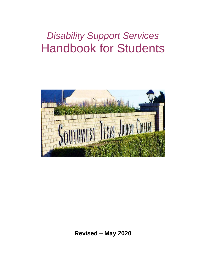# *Disability Support Services* Handbook for Students



**Revised – May 2020**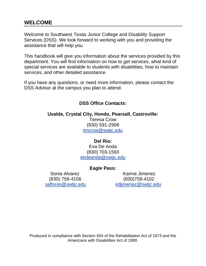# **WELCOME**

Welcome to Southwest Texas Junior College and Disability Support Services (DSS). We look forward to working with you and providing the assistance that will help you.

This handbook will give you information about the services provided by this department. You will find information on how to get services, what kind of special services are available to students with disabilities, how to maintain services, and other detailed assistance.

If you have any questions, or need more information, please contact the DSS Advisor at the campus you plan to attend.

# **DSS Office Contacts:**

**Uvalde, Crystal City, Hondo, Pearsall, Castroville:**

Teresa Crow (830) 591-2908 [tmcrow@swtjc.edu](mailto:tmcrow@swtjc.edu)

**Del Rio:** Eva De Anda (830) 703-1593 [ekdeanda@swtjc.edu](mailto:ekdeanda@swtjc.edu)

# **Eagle Pass:**

Sonia Alvarez **Karina Jimenez**  (830) 758-4156 (830)758-4102 [saflores@swtjc.edu](mailto:saflores@swtjc.edu) [kdjimenez@swtjc.edu](mailto:kdjimenez@swtjc.edu)

Produced in compliance with Section 504 of the Rehabilitation Act of 1973 and the Americans with Disabilities Act of 1990.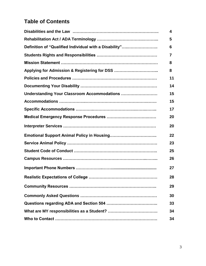# **Table of Contents**

|                                                        | 4  |
|--------------------------------------------------------|----|
|                                                        | 5  |
| Definition of "Qualified Individual with a Disability" | 6  |
|                                                        | 7  |
|                                                        | 8  |
|                                                        | 8  |
|                                                        | 11 |
|                                                        | 14 |
| Understanding Your Classroom Accommodations            | 15 |
|                                                        | 15 |
|                                                        | 17 |
|                                                        | 20 |
|                                                        | 20 |
|                                                        | 22 |
|                                                        | 23 |
|                                                        | 25 |
|                                                        | 26 |
|                                                        | 27 |
|                                                        | 28 |
|                                                        | 29 |
|                                                        | 30 |
|                                                        | 33 |
|                                                        | 34 |
|                                                        | 34 |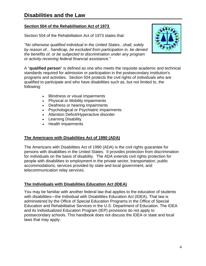# **Section 504 of the Rehabilitation Act of 1973**

Section 504 of the Rehabilitation Act of 1973 states that:

*"No otherwise qualified individual in the United States...shall, solely by reason of... handicap, be excluded from participation in, be denied the benefits of, or be subjected to discrimination under any program or activity receiving federal financial assistance."*



- Blindness or visual impairments
- Physical or Mobility impairments
- Deafness or hearing impairments
- Psychological or Psychiatric impairments
- Attention Deficit/Hyperactive disorder
- Learning Disability
- Health impairments

# **The Americans with Disabilities Act of 1990 (ADA)**

The Americans with Disabilities Act of 1990 (ADA) is the civil rights guarantee for persons with disabilities in the United States. It provides protection from discrimination for individuals on the basis of disability. The ADA extends civil rights protection for people with disabilities to employment in the private sector, transportation, public accommodations, services provided by state and local government, and telecommunication relay services.

# **The Individuals with Disabilities Education Act (IDEA)**

You may be familiar with another federal law that applies to the education of students with disabilities—the Individual with Disabilities Education Act (IDEA). That law is administered by the Office of Special Education Programs in the Office of Special Education and Rehabilitative Services in the U.S. Department of Education. The IDEA and its Individualized Education Program (IEP) provisions do not apply to postsecondary schools. This handbook does not discuss the IDEA or state and local laws that may apply.

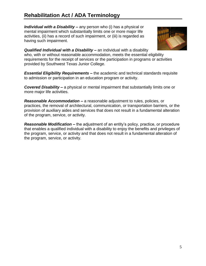# **Rehabilitation Act / ADA Terminology**

*Individual with a Disability* **–** any person who (i) has a physical or mental impairment which substantially limits one or more major life activities, (ii) has a record of such impairment, or (iii) is regarded as having such impairment.



*Qualified Individual with a Disability* **–** an individual with a disability who, with or without reasonable accommodation, meets the essential eligibility requirements for the receipt of services or the participation in programs or activities provided by Southwest Texas Junior College.

*Essential Eligibility Requirements* **–** the academic and technical standards requisite to admission or participation in an education program or activity.

*Covered Disability* **–** a physical or mental impairment that substantially limits one or more major life activities.

*Reasonable Accommodation* **–** a reasonable adjustment to rules, policies, or practices, the removal of architectural, communication, or transportation barriers, or the provision of auxiliary aides and services that does not result in a fundamental alteration of the program, service, or activity.

*Reasonable Modification* **–** the adjustment of an entity's policy, practice, or procedure that enables a qualified individual with a disability to enjoy the benefits and privileges of the program, service, or activity and that does not result in a fundamental alteration of the program, service, or activity.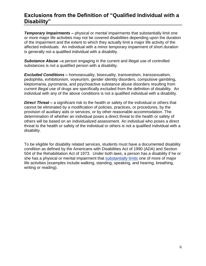# **Exclusions from the Definition of "Qualified Individual with a Disability"**

*Temporary Impairments* **–** physical or mental impairments that substantially limit one or more major life activities may not be covered disabilities depending upon the duration of the impairment and the extent to which they actually limit a major life activity of the affected individuals. An individual with a minor temporary impairment of short duration is generally not a qualified individual with a disability.

**Substance Abuse** – a person engaging in the current and illegal use of controlled substances is not a qualified person with a disability.

*Excluded Conditions* **–** homosexuality, bisexuality, transvestism, transsexualism, pedophilia, exhibitionism, voyeurism, gender identity disorders, compulsive gambling, kleptomania, pyromania, and psychoactive substance abuse disorders resulting from current illegal use of drugs are specifically excluded from the definition of disability. An individual with any of the above conditions is not a qualified individual with a disability.

**Direct Threat** – a significant risk to the health or safety of the individual or others that cannot be eliminated by a modification of policies, practices, or procedures, by the provision of auxiliary aids or services, or by other reasonable accommodation. The determination of whether an individual poses a direct threat to the health or safety of others will be based on an individualized assessment. An individual who poses a direct threat to the health or safety of the individual or others is not a qualified individual with a disability.

To be eligible for disability related services, students must have a documented disability condition as defined by the Americans with Disabilities Act of 1990 (ADA) and Section 504 of the Rehabilitation Act of 1973. Under both laws, a person has a disability if he or she has a physical or mental impairment that [substantially limits](http://www.accd.edu/sac/students/dss/html/policyandproc1.htm#substantiallylimits#substantiallylimits) one of more of major life activities (examples include walking, standing, speaking, and hearing, breathing, writing or reading).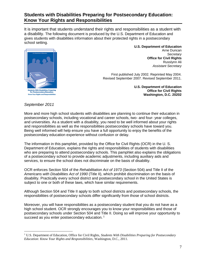# **Students with Disabilities Preparing for Postsecondary Education: Know Your Rights and Responsibilities**

It is important that students understand their rights and responsibilities as a student with a disability. The following document is produced by the U.S. Department of Education and gives students with disabilities information about their protected rights in a postsecondary school setting.



**U.S. Department of Education** Arne Duncan *Secretary* **Office for Civil Rights** Russlynn Ali *Assistant Secretary* 

First published July 2002. Reprinted May 2004. Revised September 2007. Revised September 2011.

> **U.S. Department of Education Office for Civil Rights Washington, D.C. 20202**

#### *September 2011*

 $\overline{a}$ 

More and more high school students with disabilities are planning to continue their education in postsecondary schools, including vocational and career schools, two- and four- year colleges, and universities. As a student with a disability, you need to be well informed about your rights and responsibilities as well as the responsibilities postsecondary schools have toward you. Being well informed will help ensure you have a full opportunity to enjoy the benefits of the postsecondary education experience without confusion or delay.

The information in this pamphlet, provided by the Office for Civil Rights (OCR) in the U. S. Department of Education, explains the rights and responsibilities of students with disabilities who are preparing to attend postsecondary schools. This pamphlet also explains the obligations of a postsecondary school to provide academic adjustments, including auxiliary aids and services, to ensure the school does not discriminate on the basis of disability.

OCR enforces Section 504 of the *Rehabilitation Act of 1973* (Section 504) and Title II of the *Americans with Disabilities Act of 1990* (Title II), which prohibit discrimination on the basis of disability. Practically every school district and postsecondary school in the United States is subject to one or both of these laws, which have similar requirements.

Although Section 504 and Title II apply to both school districts and postsecondary schools, the responsibilities of postsecondary schools differ significantly from those of school districts.

Moreover, you will have responsibilities as a postsecondary student that you do not have as a high school student. OCR strongly encourages you to know your responsibilities and those of postsecondary schools under Section 504 and Title II. Doing so will improve your opportunity to succeed as you enter postsecondary education.<sup>1</sup>

<sup>1</sup> U.S. Department of Education, Office for Civil Rights, *Students With Disabilities Preparing for Postsecondary Education: Know Your Rights and Responsibilities*, Washington, D.C., 2011.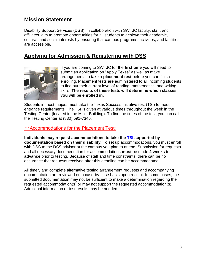# **Mission Statement**

Disability Support Services (DSS), in collaboration with SWTJC faculty, staff, and affiliates, aim to promote opportunities for all students to achieve their academic, cultural, and social interests by ensuring that campus programs, activities, and facilities are accessible**.** 

# **Applying for Admission & Registering with DSS**



If you are coming to SWTJC for the **first time** you will need to submit an application on "Apply Texas" as well as make arrangements to take a **placement test** before you can finish enrolling. Placement tests are administered to all incoming students to find out their current level of reading, mathematics, and writing skills. **The results of these tests will determine which classes you will be enrolled in.**

Students in most majors must take the Texas Success Initiative test (TSI) to meet entrance requirements. The TSI is given at various times throughout the week in the Testing Center (located in the Miller Building). To find the times of the test, you can call the Testing Center at (830) 591-7346.

### \*\*\*Accommodations for the Placement Test:

**Individuals may request accommodations to take the TSI supported by documentation based on their disability.** To set up accommodations, you must enroll with DSS to the DSS advisor at the campus you plan to attend**.** Submission for requests and all necessary documentation for accommodations **must** be made **2 weeks in advance** prior to testing. Because of staff and time constraints, there can be no assurance that requests received after this deadline can be accommodated.

All timely and complete alternative testing arrangement requests and accompanying documentation are reviewed on a case-by-case basis upon receipt. In some cases, the submitted documentation may not be sufficient to make a determination regarding the requested accommodation(s) or may not support the requested accommodation(s). Additional information or test results may be needed.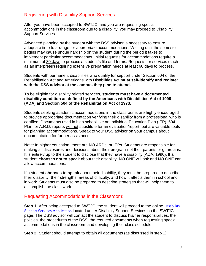# Registering with Disability Support Services:

After you have been accepted to SWTJC, and you are requesting special accommodations in the classroom due to a disability, you may proceed to Disability Support Services.

Advanced planning by the student with the DSS advisor is necessary to ensure adequate time to arrange for appropriate accommodations. Waiting until the semester begins may cause undue hardship on the student during the period it takes to implement particular accommodations. Initial requests for accommodations require a minimum of 30 days to process a student's file and forms. Requests for services (such as an interpreter) requiring extensive preparation needs at least 60 days to process.

Students with permanent disabilities who qualify for support under Section 504 of the Rehabilitation Act and Americans with Disabilities Act **must self-identify and register with the DSS advisor at the campus they plan to attend.**

To be eligible for disability related services**, students must have a documented disability condition as defined by the Americans with Disabilities Act of 1990 (ADA) and Section 504 of the Rehabilitation Act of 1973.**

Students seeking academic accommodations in the classrooms are highly encouraged to provide appropriate documentation verifying their disability from a professional who is certified. Documents used in high school like an Individual Education Plan (IEP), 504 Plan, or A.R.D. reports will not substitute for an evaluation/report, but are valuable tools for planning accommodations. Speak to your DSS advisor on your campus about documentation for further assistance.

Note: In higher education, there are NO ARDs, or IEPs. Students are responsible for making all disclosures and decisions about their program-not their parents or guardians. It is entirely up to the student to disclose that they have a disability (ADA, 1990). If a student **chooses not to speak** about their disability, NO ONE will ask and NO ONE can allow accommodations.

If a student **chooses to speak** about their disability, they must be prepared to describe their disability, their strengths, areas of difficulty, and how it affects them in school and in work. Students must also be prepared to describe strategies that will help them to accomplish the class work.

# Requesting Accommodations in the Classroom:

**Step 1:** After being accepted to SWTJC, the student will proceed to the online Disability [Support Services Application](https://amacsam.quickbase.com/db/bnzkej7g4?a=nwr) located under Disability Support Services on the SWTJC page. The DSS advisor will contact the student to discuss his/her responsibilities, the policies, the procedures of the DSS, the required documents when requesting special accommodations in the classroom, and developing their class schedule.

**Step 2:** Student should attempt to obtain all documents (as discussed in step 1).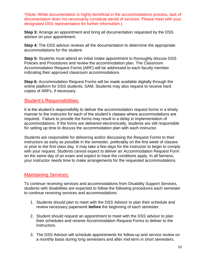\*(Note: While documentation is highly beneficial in the accommodations process, lack of documentation does not necessarily constitute denial of services. Please meet with your designated DSS representative for further information.)

**Step 3:** Arrange an appointment and bring all documentation requested by the DSS advisor on your appointment.

**Step 4:** The DSS advisor reviews all the documentation to determine the appropriate accommodations for the student.

**Step 5:** Students must attend an initial intake appointment to thoroughly discuss DSS Policies and Procedures and review the accommodation plan. The Classroom Accommodation Request Forms (ARF) will be addressed to each faculty member indicating their approved classroom accommodations

**Step 6:** Accommodation Request Forms will be made available digitally through the online platform for DSS students, SAM. Students may also request to receive hard copies of ARFs, if necessary.

### Student's Responsibilities:

It is the student's responsibility to deliver the accommodation request forms in a timely manner to the instructor for each of the student's classes where accommodations are required. Failure to provide the forms may result in a delay in implementation of accommodations. If the forms are delivered electronically, students are still responsible for setting up time to discuss the accommodation plan with each instructor.

Students are responsible for delivering and/or discussing the Request Forms to their instructors as early as possible in the semester, preferably on the first week of classes or prior to the first class day. It may take a few days for the instructor to begin to comply with your request. Students cannot expect to deliver an Accommodation Request Form on the same day of an exam and expect to have the conditions apply. In all fairness, your instructor needs time to make arrangements for the requested accommodations.

# **Maintaining Services:**

To continue receiving services and accommodations from Disability Support Services, students with disabilities are expected to follow the following procedures each semester to continue receiving services and accommodations.

- 1. Students should plan to meet with the DSS Advisor to plan their schedule and review necessary paperwork **before** the beginning of each semester.
- 2. Student should request an appointment to meet with the DSS advisor to plan their schedules and receive Accommodation Request Forms to deliver to the instructors.
- 3. The DSS Advisor will schedule appointments for follow-up and service review on a monthly basis during long semesters and after mid-term in short semesters.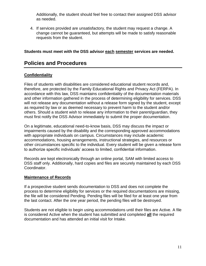Additionally, the student should feel free to contact their assigned DSS advisor as needed.

4. If services provided are unsatisfactory, the student may request a change. A change cannot be guaranteed, but attempts will be made to satisfy reasonable requests from the student.

#### **Students must meet with the DSS advisor each semester services are needed.**

# **Policies and Procedures**

# **Confidentiality**

Files of students with disabilities are considered educational student records and, therefore, are protected by the Family Educational Rights and Privacy Act (FERPA). In accordance with this law, DSS maintains confidentiality of the documentation materials and other information gathered in the process of determining eligibility for services. DSS will not release any documentation without a release form signed by the student, except as required by law or as deemed necessary to prevent harm to the student and/or others. Should a student wish to release any information to their parent/guardian, they must first notify the DSS Advisor immediately to submit the proper documentation.

On a legitimate, educational need-to-know basis, DSS may discuss the impact or impairments caused by the disability and the corresponding approved accommodations with appropriate individuals on campus. Circumstances may include academic accommodations, housing arrangements, instructional strategies, and resources or other circumstances specific to the individual. Every student will be given a release form to authorize specific individuals' access to limited, confidential information.

Records are kept electronically through an online portal, SAM with limited access to DSS staff only. Additionally, hard copies and files are securely maintained by each DSS Coordinator.

#### **Maintenance of Records**

If a prospective student sends documentation to DSS and does not complete the process to determine eligibility for services or the required documentations are missing, the file will be considered Pending. Pending files will be filed for at least one year from the last contact. After the one year period, the pending files will be destroyed.

Students are not eligible to begin using accommodations until their files are Active. A file is considered Active when the student has submitted and completed **all** the required documentation and has attended an initial visit for Intake.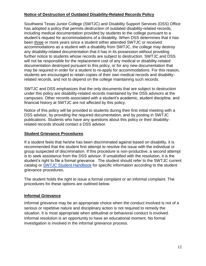### **Notice of Destruction of Outdated Disability-Related Records Policy**

Southwest Texas Junior College (SWTJC) and Disability Support Services (DSS) Office has adopted a policy that permits destruction of outdated disability-related records, including medical documentation provided by students to the college pursuant to a student's request for accommodations of a disability. When DSS determines that it has been three or more years since a student either attended SWTJC or received accommodations as a student with a disability from SWTJC, the college may destroy any disability-related documentation that it has in its possession without providing further notice to students whose records are subject to destruction. SWTJC and DSS will not be responsible for the replacement cost of any medical or disability-related documentation destroyed pursuant to this policy, or for any new documentation that may be required in order for a student to re-apply for accommodations. For this reason, students are encouraged to retain copies of their own medical records and disabilityrelated records, and not to depend on the college maintaining such records.

SWTJC and DSS emphasizes that the only documents that are subject to destruction under this policy are disability-related records maintained by the DSS advisors at the campuses. Other records associated with a student's academic, student discipline, and financial history at SWTJC are not affected by this policy.

Notice of this policy will be provided to students during their first initial meeting with a DSS advisor, by providing the required documentation, and by posting in SWTJC publications. Students who have any questions about this policy or their disabilityrelated records should contact a DSS advisor.

#### **Student Grievance Procedures**

If a student feels that he/she has been discriminated against based on disability, it is recommended that the student first attempt to resolve the issue with the individual or group suspected of discrimination. If this procedure is non-productive, a second attempt is to seek assistance from the DSS advisor. If unsatisfied with the resolution, it is the student's right to file a formal grievance. The student should refer to the SWTJC current catalog or [SWTJC Student Handbook](http://www.swtjc.edu/pages/about-swtjc/handbooks/student-handbook) for specific information according to the student grievance procedures.

The student holds the right to issue a formal complaint or an informal complaint. The procedures for these options are outlined below.

#### **Informal Grievance**

Informal grievance may be an appropriate choice when the conduct involved is not of a serious or repetitive nature and disciplinary action is not required to remedy the situation. It is most appropriate when attitudinal or behavioral conduct is involved. Informal resolution is an opportunity to have an educational moment. No formal investigation is involved in the informal grievance process.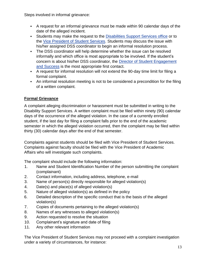Steps involved in informal grievance:

- A request for an informal grievance must be made within 90 calendar days of the date of the alleged incident.
- **EXECT Students may make the request to the [Disabilities Support Services office](http://www.swtjc.edu/pages/student-life/counseling-and-advising/disability-support-services) or to** the [Vice President of Student Services.](http://www.swtjc.edu/pages/about-swtjc/administration#article-674) Students may discuss the issue with his/her assigned DSS coordinator to begin an informal resolution process.
- **The DSS coordinator will help determine whether the issue can be resolved** informally and which office is most appropriate to be involved. If the student's concern is about his/her DSS coordinator, the [Director of Student Engagement](http://www.swtjc.edu/faculty_and_staff/listing/Randa-Schell/808)  [and Success](http://www.swtjc.edu/faculty_and_staff/listing/Randa-Schell/808) is the most appropriate first contact.
- A request for informal resolution will not extend the 90-day time limit for filing a formal complaint.
- **EXED 10.** An informal resolution meeting is not to be considered a precondition for the filing of a written complaint.

# **Formal Grievance**

A complaint alleging discrimination or harassment must be submitted in writing to the Disability Support Services. A written complaint must be filed within ninety (90) calendar days of the occurrence of the alleged violation. In the case of a currently enrolled student, if the last day for filing a complaint falls prior to the end of the academic semester in which the alleged violation occurred, then the complaint may be filed within thirty (30) calendar days after the end of that semester.

Complaints against students should be filed with Vice President of Student Services. Complaints against faculty should be filed with the [Vice](http://www.utexas.edu/equity) President of Academic Affairs who will investigate such complaints.

The complaint should include the following information:

- 1. Name and Student Identification Number of the person submitting the complaint (complainant)
- 2. Contact information, including address, telephone, e-mail
- 3. Name of person(s) directly responsible for alleged violation(s)
- 4. Date(s) and place(s) of alleged violation(s)
- 5. Nature of alleged violation(s) as defined in the policy
- 6. Detailed description of the specific conduct that is the basis of the alleged violation(s)
- 7. Copies of documents pertaining to the alleged violation(s)
- 8. Names of any witnesses to alleged violation(s)
- 9. Action requested to resolve the situation
- 10. Complainant's signature and date of filing
- 11. Any other relevant information

The Vice President of Student Services may not proceed with a complaint investigation under a variety of circumstances, for instance: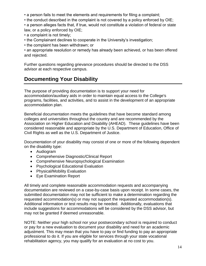- a person fails to meet the elements and requirements for filing a complaint;
- the conduct described in the complaint is not covered by a policy enforced by OIE;
- a person alleges facts that, if true, would not constitute a violation of federal or state law, or a policy enforced by OIE;
- a complaint is not timely;
- the Complainant declines to cooperate in the University's investigation;
- the complaint has been withdrawn; or

• an appropriate resolution or remedy has already been achieved, or has been offered and rejected.

Further questions regarding grievance procedures should be directed to the DSS advisor at each respective campus.

# **Documenting Your Disability**

The purpose of providing documentation is to support your need for accommodation/auxiliary aids in order to maintain equal access to the College's programs, facilities, and activities, and to assist in the development of an appropriate accommodation plan.

Beneficial documentation meets the guidelines that have become standard among colleges and universities throughout the country and are recommended by the Association on Higher Education and Disability (AHEAD). These guidelines have been considered reasonable and appropriate by the U.S. Department of Education, Office of Civil Rights as well as the U.S. Department of Justice.

Documentation of your disability may consist of one or more of the following dependent on the disability type:

- Audiogram
- Comprehensive Diagnostic/Clinical Report
- Comprehensive Neuropsychological Examination
- Psychological Educational Evaluation
- Physical/Mobility Evaluation
- Eye Examination Report

All timely and complete reasonable accommodation requests and accompanying documentation are reviewed on a case-by-case basis upon receipt. In some cases, the submitted documentation may not be sufficient to make a determination regarding the requested accommodation(s) or may not support the requested accommodation(s). Additional information or test results may be needed. Additionally, evaluations that include suggestions for accommodations will be considered by the DSS advisor, but may not be granted if deemed unreasonable.

NOTE: Neither your high school nor your postsecondary school is required to conduct or pay for a new evaluation to document your disability and need for an academic adjustment. This may mean that you have to pay or find funding to pay an appropriate professional to do it. If you are eligible for services through your state vocational rehabilitation agency, you may qualify for an evaluation at no cost to you.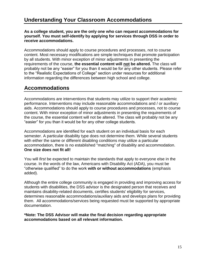**As a college student, you are the only one who can request accommodations for yourself. You must self-identify by applying for services through DSS in order to receive accommodations.**

Accommodations should apply to course procedures and processes, not to course content. Most necessary modifications are simple techniques that promote participation by all students. With minor exception of minor adjustments in presenting the requirements of the course, **the essential content will not be altered.** The class will probably not be any "easier" for you than it would be for any other students. Please refer to the "Realistic Expectations of College" section under resources for additional information regarding the differences between high school and college.

# **Accommodations**

Accommodations are interventions that students may utilize to support their academic performance. Interventions may include reasonable accommodations and / or auxiliary aids. Accommodations should apply to course procedures and processes, not to course content. With minor exception of minor adjustments in presenting the requirements of the course, the essential content will not be altered. The class will probably not be any "easier" for you than it would be for any other college students.

Accommodations are identified for each student on an individual basis for each semester. A particular disability type does not determine them. While several students with either the same or different disabling conditions may utilize a particular accommodation, there is no established "matching" of disability and accommodation. **One size does not fit all!**

You will *first* be expected to maintain the standards that apply to everyone else in the course. In the words of the law, Americans with Disability Act (ADA), you must be "otherwise qualified" to do the work **with or without accommodations** (emphasis added).

Although the entire college community is engaged in providing and improving access for students with disabilities, the DSS advisor is the designated person that receives and maintains disability-related documents, certifies students' eligibility for services, determines reasonable accommodations/auxiliary aids and develops plans for providing them. All accommodations/services being requested must be supported by appropriate documentation.

#### **\*Note: The DSS Advisor will make the final decision regarding appropriate accommodations based on all relevant information.**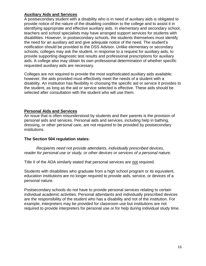### **Auxiliary Aids and Services**

A postsecondary student with a disability who is in need of auxiliary aids is obligated to provide notice of the nature of the disabling condition to the college and to assist it in identifying appropriate and effective auxiliary aids. In elementary and secondary school, teachers and school specialists may have arranged support services for students with disabilities. However, in postsecondary schools, the students themselves must identify the need for an auxiliary aid and give adequate notice of the need. The student's notification should be provided to the DSS Advisor. Unlike elementary or secondary schools, colleges may ask the student, in response to a request for auxiliary aids, to provide supporting diagnostic test results and professional prescriptions for auxiliary aids. A college also may obtain its own professional determination of whether specific requested auxiliary aids are necessary.

Colleges are not required to provide the most sophisticated auxiliary aids available; however, the aids provided must effectively meet the needs of a student with a disability. An institution has flexibility in choosing the specific aid or service it provides to the student, as long as the aid or service selected is effective. These aids should be selected after consultation with the student who will use them.

#### **Personal Aids and Services**

An issue that is often misunderstood by students and their parents is the provision of personal aids and services. Personal aids and services, including help in bathing, dressing, or other personal care, are not required to be provided by postsecondary institutions.

#### **The Section 504 regulation states:**

*Recipients need not provide attendants, individually prescribed devices, reader for personal use or study, or other devices or services of a personal nature.* 

Title II of the ADA similarly stated that personal services are not required.

Students with disabilities who graduate from a high school program or its equivalent, education institutions are no longer required to provide aids, service, or devices of a personal nature.

Postsecondary schools do not have to provide personal services relating to certain individual academic activities. Personal attendants and individually prescribed devices are the responsibility of the student who has a disability and not of the institution. For example, interpreters may be provided for classroom use but institutions are not required to provide interpreters for personal use or for help during individual study time.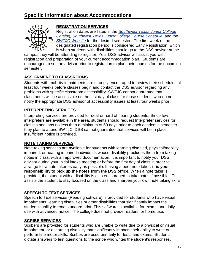

### **REGISTRATION SERVICES**

Registration dates are listed in the *[Southwest Texas Junior College](http://www.swtjc.edu/academics/catalog-and-schedule/index.html) [Catalog,](http://www.swtjc.edu/academics/catalog-and-schedule/index.html) [Southwest Texas Junior College](https://webadvisor.swtjc.edu:8443/WebAdvisor/WebAdvisor?TOKENIDX=6822558857&SS=1&APP=ST) Course Schedule,* and the *[SWTJC Website](http://www.swtjc.edu/)* for the desired semester. The first week of the designated registration period is considered Early Registration, which is when students with disabilities should go to the DSS advisor at the

campus they will be attending to register. Your DSS advisor will assist you with registration and preparation of your current accommodation plan. Students are encouraged to see an advisor prior to registration to plan their courses for the upcoming semester.

# **ASSIGNMENT TO CLASSROOMS**

Students with mobility impairments are strongly encouraged to review their schedules at least four weeks before classes begin and contact the DSS advisor regarding any problems with specific classroom accessibility. SWTJC cannot guarantee that classrooms will be accessible on the first day of class for those students who do not notify the appropriate DSS advisor of accessibility issues at least four weeks prior.

### **INTERPRETING SERVICES**

Interpreting services are provided for deaf or hard of hearing students. Since few interpreters are available in the area, students should request Interpreter services for classes and labs no less than a minimum of 60 days prior to each academic semester they plan to attend SWTJC. DSS cannot guarantee that services will be in place if insufficient notice is provided.

#### **NOTE TAKING SERVICES**

Note-taking services are available for students with learning disabled, physical/mobility impaired, or hearing impaired individuals whose disability precludes them from taking notes in class, with an approved documentation. It is important to notify your DSS advisor during your initial intake meeting or before the first day of class in order to arrange for a note taker as early as possible. If using a peer note taker, **it is your responsibility to pick up the notes from the DSS office.** When a note taker is provided, the student with a disability is also encouraged to take notes if possible. This assists the student to stay focused on the class and sharpen your own note taking skills.

# **SPEECH TO TEXT SERVICES**

Speech to Text services (Reading software) is provided for students who have visual impairments, learning disabilities or other disabilities that significantly impact the student's ability to read standard print. This software is available for exams and daily use with advanced notice. The college does not provide readers for home use.

#### **SCRIBE SERVICES**

Scribers are provided for students who are unable to write due to a physical or visual impairment, or a learning disability that significantly impacts their ability to write or perform fine motor skills. Scribes are used primarily for tests and exams. Students dictate answers to test questions to the scribe who writes the student's responses.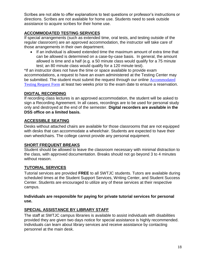Scribes are not able to offer explanations to test questions or professor's instructions or directions. Scribes are not available for home use. Students need to seek outside assistance to acquire scribes for their home use.

# **ACCOMMODATED TESTING SERVICES**

If special arrangements (such as extended time, oral tests, and testing outside of the regular classroom) are an approved accommodation, the instructor will take care of those arrangements in their own department.

• If an individual is allowed extended time the maximum amount of extra time that can be allowed is determined on a case-by-case basis. In general, the amount allowed is time and a half (e.g. a 50 minute class would qualify for a 75 minute test; an 80 minute class would qualify for a 120 minute test).

\*If an instructor does not have the time or space available to provide exam accommodations, a request to have an exam administered at the Testing Center may be submitted. The student must submit the request through our online [Accommodated](https://amacsam.quickbase.com/db/bpacm5myd?a=nwr) [Testing Request Form](https://amacsam.quickbase.com/db/bpacm5myd?a=nwr) at least two weeks prior to the exam date to ensure a reservation.

### **DIGITAL RECORDING**

If recording class lectures is an approved accommodation, the student will be asked to sign a Recording Agreement. In all cases, recordings are to be used for personal study only and destroyed at the end of the semester. **Digital recorders are available in the DSS office on a limited basis.**

# **ACCESSIBLE SEATING**

Desks without attached chairs are available for those classrooms that are not equipped with desks that can accommodate a wheelchair. Students are expected to have their own wheelchairs. The college cannot provide any personal equipment.

# **SHORT FREQUENT BREAKS**

Student should be allowed to leave the classroom necessary with minimal distraction to the class, with approved documentation. Breaks should not go beyond 3 to 4 minutes without reason.

# **TUTORIAL SERVICES**

Tutorial services are provided **FREE** to all SWTJC students. Tutors are available during scheduled times at the Student Support Services, Writing Center, and Student Success Center. Students are encouraged to utilize any of these services at their respective campus.

#### **Individuals are responsible for paying for private tutorial services for personal use.**

# **SPECIAL ASSISTANCE BY LIBRARY STAFF**

The staff at SWTJC campus libraries is available to assist individuals with disabilities provided they are given two days notice for special assistance is highly recommended. Individuals can learn about library services and receive assistance by contacting personnel at the main desk.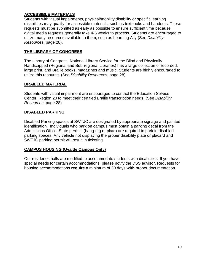# **ACCESSIBLE MATERIALS**

Students with visual impairments, physical/mobility disability or specific learning disabilities may qualify for accessible materials, such as textbooks and handouts. These requests must be submitted as early as possible to ensure sufficient time because digital media requests generally take 4-6 weeks to process. Students are encouraged to utilize many resources available to them, such as Learning Ally (See *Disability Resources*, page 28).

#### **THE LIBRARY OF CONGRESS**

The Library of Congress, National Library Service for the Blind and Physically Handicapped (Regional and Sub-regional Libraries) has a large collection of recorded, large print, and Braille books, magazines and music. Students are highly encouraged to utilize this resource. (See *Disability Resources*, page 28)

### **BRAILLED MATERIAL**

Students with visual impairment are encouraged to contact the Education Service Center, Region 20 to meet their certified Braille transcription needs. (See *Disability Resources*, page 28)

# **DISABLED PARKING**

Disabled Parking spaces at SWTJC are designated by appropriate signage and painted identification. Individuals who park on campus must obtain a parking decal from the Admissions Office. State permits (hang-tag or plate) are required to park in disabled parking spaces. Any vehicle not displaying the proper disability plate or placard and SWTJC parking permit will result in ticketing.

#### **CAMPUS HOUSING (Uvalde Campus Only)**

Our residence halls are modified to accommodate students with disabilities. If you have special needs for certain accommodations, please notify the DSS advisor. Requests for housing accommodations **require** a minimum of 30 days **with** proper documentation.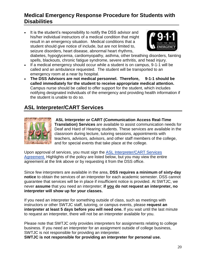# **Medical Emergency Response Procedure for Students with Disabilities**

• It is the student's responsibility to notify the DSS advisor and his/her individual instructors of a medical condition that might result in an emergency situation. Medical conditions that a student should give notice of include, but are not limited to, seizure disorders, heart disease, abnormal heart rhythms,



diabetes, hypoglycemia, cardiomyopathy, asthma, other breathing disorders, fainting spells, blackouts, chronic fatigue syndrome, severe arthritis, and head injury.

- If a medical emergency should occur while a student is on campus, 9-1-1 will be called and an ambulance requested. The student will be transported to an emergency room at a near by hospital.
- **The DSS Advisors are not medical personnel. Therefore, 9-1-1 should be called immediately for the student to receive appropriate medical attention.** Campus nurse should be called to offer support for the student, which includes notifying designated individuals of the emergency and providing health information if the student is unable to do so.

# **ASL Interpreter/CART Services**



**ASL Interpreter or CART (Communication Access Real-Time Translation) Services** are available to assist communication needs for Deaf and Hard of Hearing students. These services are available in the classroom during lecture, tutoring sessions, appointments with teachers, advisors, advisors, and other staff members of the college, and for special events that take place at the college.

Upon approval of services, you must sign the [ASL Interpreter/CART Services](https://forms.office.com/Pages/ResponsePage.aspx?id=bynaZpvGgUSfTztVz55GDt-N37BIGFNEjYuYpyeBp0RUM1BSTUQ4VkgyUFI1MTY0WEhPQ1k3NDI2My4u)  [Agreement.](https://forms.office.com/Pages/ResponsePage.aspx?id=bynaZpvGgUSfTztVz55GDt-N37BIGFNEjYuYpyeBp0RUM1BSTUQ4VkgyUFI1MTY0WEhPQ1k3NDI2My4u) Highlights of the policy are listed below, but you may view the entire agreement at the link above or by requesting it from the DSS office.

Since few interpreters are available in the area, **DSS requires a minimum of sixty-day notice** to obtain the services of an interpreter for each academic semester. DSS cannot guarantee that services will be in place if insufficient notice is provided. At SWTJC, we never **assume** that you need an interpreter; **if you do not request an interpreter, no interpreter will show up for your classes.**

If you need an interpreter for something outside of class, such as meetings with instructors or other SWTJC staff, tutoring, or campus events, please **request an interpreter at least 5 days before you will need one.** If you wait until the last minute to request an interpreter, there will not be an interpreter available for you.

Please note that SWTJC only provides interpreters for assignments relating to college business. If you need an interpreter for an assignment outside of college business, SWTJC is not responsible for providing an interpreter.

**SWTJC is not responsible for providing an interpreter for personal use.**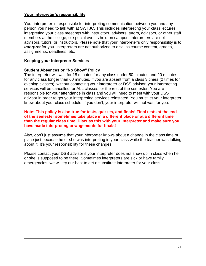#### **Your interpreter's responsibility**

Your interpreter is responsible for interpreting communication between you and any person you need to talk with at SWTJC. This includes interpreting your class lectures, interpreting your class meetings with instructors, advisors, tutors, advisors, or other staff members at the college, or special events held on campus. Interpreters are not advisors, tutors, or instructors. Please note that your interpreter's only responsibility is to interpret for you. Interpreters are not authorized to discuss course content, grades, assignments, deadlines, etc.

#### **Keeping your Interpreter Services**

#### **Student Absences or "No Show" Policy**

The interpreter will wait for 15 minutes for any class under 50 minutes and 20 minutes for any class longer than 60 minutes. If you are absent from a class 3 times (2 times for evening classes), without contacting your interpreter or DSS advisor, your interpreting services will be cancelled for ALL classes for the rest of the semester. You are responsible for your attendance in class and you will need to meet with your DSS advisor in order to get your interpreting services reinstated. You must let your interpreter know about your class schedule; if you don't, your interpreter will not wait for you.

#### **Note: This policy is also true for tests, quizzes, and finals! Final tests at the end of the semester sometimes take place in a different place or at a different time than the regular class time. Discuss this with your interpreter and make sure you have made interpreting arrangements for finals!**

Also, don't just assume that your interpreter knows about a change in the class time or place just because he or she was interpreting in your class while the teacher was talking about it. It's your responsibility for these changes.

Please contact your DSS advisor if your interpreter does not show up in class when he or she is supposed to be there. Sometimes interpreters are sick or have family emergencies; we will try our best to get a substitute interpreter for your class.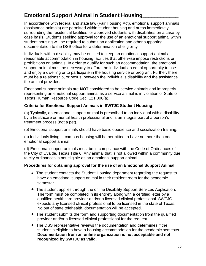# **Emotional Support Animal in Student Housing\_\_\_\_\_\_\_\_\_\_\_\_**

In accordance with federal and state law (Fair Housing Act), emotional support animals (assistance animals) are permitted within student housing and areas immediately surrounding the residential facilities for approved students with disabilities on a case-bycase basis. Students seeking approval for the use of an emotional support animal within student housing will be required to submit an application and other supporting documentation to the DSS office for a determination of eligibility.

Individuals with a disability may be entitled to keep an emotional support animal as reasonable accommodation in housing facilities that otherwise impose restrictions or prohibitions on animals. In order to qualify for such an accommodation, the emotional support animal must be necessary to afford the individual an equal opportunity to use and enjoy a dwelling or to participate in the housing service or program. Further, there must be a relationship, or nexus, between the individual's disability and the assistance the animal provides.

Emotional support animals are **NOT** considered to be service animals and improperly representing an emotional support animal as a service animal is in violation of State of Texas Human Resource Code Sec. 121.006(a).

#### **Criteria for Emotional Support Animals in SWTJC Student Housing**:

(a) Typically, an emotional support animal is prescribed to an individual with a disability by a healthcare or mental health professional and is an integral part of a person's treatment process (not a pet).

(b) Emotional support animals should have basic obedience and socialization training.

(c) Individuals living in campus housing will be permitted to have no more than one emotional support animal.

(d) Emotional support animals must be in compliance with the Code of Ordinances of the City of Uvalde, Texas Title 6. Any animal that is not allowed within a community due to city ordinances is not eligible as an emotional support animal.

#### **Procedures for obtaining approval for the use of an Emotional Support Animal**

- The student contacts the Student Housing department regarding the request to have an emotional support animal in their resident room for the academic semester.
- The student applies through the online Disability Support Services Application. The form must be completed in its entirety along with a certified letter by a qualified healthcare provider and/or a licensed clinical professional. SWTJC expects any licensed clinical professional to be licensed in the state of Texas. No out of state telehealth, documentation will be accepted.
- The student submits the form and supporting documentation from the qualified provider and/or a licensed clinical professional for the request.
- The DSS representative reviews the documentation and determines if the student is eligible to have a housing accommodation for the academic semester. **Documentation from an online organization is not acceptable and not recognized by SWTJC as valid.**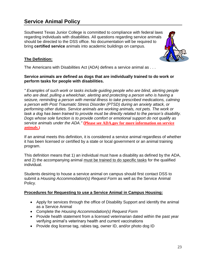# **Service Animal Policy**

Southwest Texas Junior College is committed to compliance with federal laws regarding individuals with disabilities. All questions regarding service animals should be directed to the DSS office. No documentation will be required to bring **certified service** animals into academic buildings on campus.

#### **The Definition:**

The Americans with Disabilities Act (ADA) defines a service animal as . . .

#### **Service animals are defined as dogs that are individually trained to do work or perform tasks for people with disabilities.**

*" Examples of such work or tasks include guiding people who are blind, alerting people who are deaf, pulling a wheelchair, alerting and protecting a person who is having a seizure, reminding a person with mental illness to take prescribed medications, calming a person with Post Traumatic Stress Disorder (PTSD) during an anxiety attack, or performing other duties. Service animals are working animals, not pets. The work or task a dog has been trained to provide must be directly related to the person's disability. Dogs whose sole function is to provide comfort or emotional support do not qualify as service animals under the ADA."* **([Please see ADA.gov for more information on service](https://www.ada.gov/regs2010/titleII_2010/titleII_2010_regulations.htm#a35136)  [animals.\)](https://www.ada.gov/regs2010/titleII_2010/titleII_2010_regulations.htm#a35136)**

If an animal meets this definition, it is considered a service animal regardless of whether it has been licensed or certified by a state or local government or an animal training program.

This definition means that 1) an individual must have a disability as defined by the ADA, and 2) the accompanying animal must be trained to do specific tasks for the qualified individual.

Students desiring to house a service animal on campus should first contact DSS to submit a *Housing Accommodation(s) Request Form* as well as the Service Animal Policy.

#### **Procedures for Requesting to use a Service Animal in Campus Housing:**

- Apply for services through the office of Disability Support and identify the animal as a Service Animal
- Complete the *Housing Accommodation(s) Request Form*
- Provide health statement from a licensed veterinarian dated within the past year verifying animal's veterinary health and current vaccinations
- Provide dog license tag, rabies tag, owner ID, and/or photo dog ID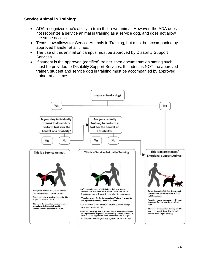#### **Service Animal in Training:**

- ADA recognizes one's ability to train their own animal. However, the ADA does not recognize a service animal in training as a service dog, and does not allow the same access.
- Texas Law allows for Service Animals in Training, but must be accompanied by approved handler at all times.
- The use of this animal on campus must be approved by Disability Support Services.
- If student is the approved (certified) trainer, then documentation stating such must be provided to Disability Support Services. If student is NOT the approved trainer, student and service dog in training must be accompanied by approved trainer at all times.

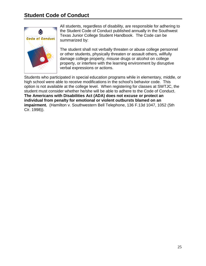# **Student Code of Conduct**



All students, regardless of disability, are responsible for adhering to the Student Code of Conduct published annually in the Southwest Texas Junior College Student Handbook. The Code can be summarized by:

The student shall not verbally threaten or abuse college personnel or other students, physically threaten or assault others, willfully damage college property, misuse drugs or alcohol on college property, or interfere with the learning environment by disruptive verbal expressions or actions.

Students who participated in special education programs while in elementary, middle, or high school were able to receive modifications in the school's behavior code. This option is not available at the college level. When registering for classes at SWTJC, the student must consider whether he/she will be able to adhere to the Code of Conduct. **The Americans with Disabilities Act (ADA) does not excuse or protect an individual from penalty for emotional or violent outbursts blamed on an impairment.** (Hamilton v. Southwestern Bell Telephone, 136 F.13d 1047, 1052 (5th Cir. 1998)).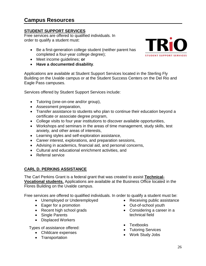# **Campus Resources**

#### **STUDENT SUPPORT SERVICES**

Free services are offered to qualified individuals. In order to qualify a student must:

- Be a first-generation college student (neither parent has completed a four-year college degree);
- Meet income guidelines; **or**
- **Have a documented disability**.

Applications are available at Student Support Services located in the Sterling Fly Building on the Uvalde campus or at the Student Success Centers on the Del Rio and Eagle Pass campuses.

Services offered by Student Support Services include:

- Tutoring (one-on-one and/or group),
- Assessment preparation,
- Transfer assistance to students who plan to continue their education beyond a certificate or associate degree program,
- College visits to four year institutions to discover available opportunities,
- Workshops and seminars in the areas of time management, study skills, test anxiety, and other areas of interests,
- Learning styles and self-exploration assistance,
- Career interest, explorations, and preparation sessions,
- Advising in academics, financial aid, and personal concerns,
- Cultural and educational enrichment activities, and
- Referral service

#### **CARL D. PERKINS ASSISTANCE**

The Carl Perkins Grant is a federal grant that was created to assist **Technical-Vocational students.** Applications are available at the Business Office located in the Flores Building on the Uvalde campus.

Free services are offered to qualified individuals. In order to qualify a student must be:

- Unemployed or Underemployed
- Eager for a promotion
- Recent high school grads
- Single Parents
- Displaced Workers

Types of assistance offered:

- Childcare expenses
- Transportation
- Receiving public assistance
- Out-of-school youth
- Considering a career in a technical field
- Textbooks
- Tutoring Services
- Work Study Jobs

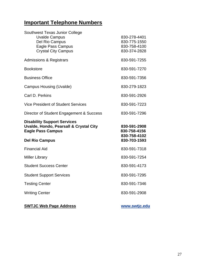# **Important Telephone Numbers**

| Southwest Texas Junior College                                                                           |                              |
|----------------------------------------------------------------------------------------------------------|------------------------------|
| <b>Uvalde Campus</b><br>Del Rio Campus                                                                   | 830-278-4401<br>830-775-1550 |
| Eagle Pass Campus                                                                                        | 830-758-4100                 |
| <b>Crystal City Campus</b>                                                                               | 830-374-2828                 |
| <b>Admissions &amp; Registrars</b>                                                                       | 830-591-7255                 |
| <b>Bookstore</b>                                                                                         | 830-591-7270                 |
| <b>Business Office</b>                                                                                   | 830-591-7356                 |
| Campus Housing (Uvalde)                                                                                  | 830-279-1823                 |
| Carl D. Perkins                                                                                          | 830-591-2926                 |
| <b>Vice President of Student Services</b>                                                                | 830-591-7223                 |
| Director of Student Engagement & Success                                                                 | 830-591-7296                 |
|                                                                                                          |                              |
| <b>Disability Support Services</b><br>Uvalde, Hondo, Pearsall & Crystal City<br><b>Eagle Pass Campus</b> | 830-591-2908<br>830-758-4156 |
| <b>Del Rio Campus</b>                                                                                    | 830-758-4102<br>830-703-1593 |
| <b>Financial Aid</b>                                                                                     | 830-591-7318                 |
| <b>Miller Library</b>                                                                                    | 830-591-7254                 |
| <b>Student Success Center</b>                                                                            | 830-591-4173                 |
| <b>Student Support Services</b>                                                                          | 830-591-7295                 |
| <b>Testing Center</b>                                                                                    | 830-591-7346                 |
| <b>Writing Center</b>                                                                                    | 830-591-2908                 |

# **SWTJC Web Page Address [www.swtjc.edu](http://www.swtjc.edu/)**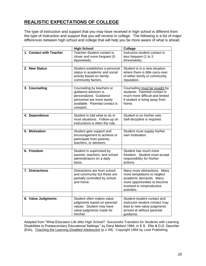# **REALISTIC EXPECTATIONS OF COLLEGE**

The type of instruction and support that you may have received in high school is different from the type of instruction and support that you will receive in college. The following is a list of major differences between high school and college that will help you be more aware of what is ahead.

|                         | <b>High School</b>                                                                                                                                      | College                                                                                                                                                           |
|-------------------------|---------------------------------------------------------------------------------------------------------------------------------------------------------|-------------------------------------------------------------------------------------------------------------------------------------------------------------------|
| 1. Contact with Teacher | Teacher-Student contact is<br>closer and more frequent (5<br>days/week).                                                                                | Instructor-student contact is<br>less frequent (1 to 3<br>times/week).                                                                                            |
|                         |                                                                                                                                                         |                                                                                                                                                                   |
| 2. New Status           | Student establishes a personal<br>status in academic and social<br>activity based on family-<br>community factors.                                      | Student is in a new situation<br>where there is little carry-over<br>of either family or community<br>reputation.                                                 |
|                         |                                                                                                                                                         |                                                                                                                                                                   |
| 3. Counseling           | Counseling by teachers or<br>guidance advisors is<br>personalized. Guidance<br>personnel are more easily<br>available. Parental contact is<br>constant. | Counseling must be sought by<br>students. Parental contact is<br>much more difficult and limited<br>if student is living away from<br>home.                       |
|                         |                                                                                                                                                         |                                                                                                                                                                   |
| 4. Dependence           | Student is told what to do in<br>most situations. Follow-up on<br>instructions is often the rule.                                                       | Student is on his/her own.<br>Self-discipline is required.                                                                                                        |
|                         |                                                                                                                                                         |                                                                                                                                                                   |
| 5. Motivation           | Student gets support and<br>encouragement to achieve or<br>participate from parents,<br>teachers, or advisors.                                          | Student must supply his/her<br>own motivation.                                                                                                                    |
|                         |                                                                                                                                                         |                                                                                                                                                                   |
| 6. Freedom              | Student is supervised by<br>parents, teachers, and school<br>administrators on a daily<br>basis.                                                        | Student has much more<br>freedom. Student must accept<br>responsibility for his/her<br>actions.                                                                   |
|                         |                                                                                                                                                         |                                                                                                                                                                   |
| 7. Distractions         | Distractions are from school<br>and community but these are<br>partially controlled by school<br>and home.                                              | Many more distractions. Many<br>more temptations to neglect<br>academic demands. Many<br>more opportunities to become<br>involved in nonproductive<br>activities. |
|                         |                                                                                                                                                         |                                                                                                                                                                   |
| 8. Value Judgments      | Student often makes value<br>judgments based on parental<br>values. Student may have<br>value judgments made for<br>him/her.                            | Student-student contact and<br>instructor-student contact may<br>lead to new value judgments<br>arrived at without parental<br>guidance.                          |

Adapted from "What Education Life after High School? Successful Transition for Students with Learning Disabilities to Postsecondary Educational Settings," by Daryl Mellard 1994, in E.S. Ellis & D.D. Deschler (Eds), Teaching the Learning Disabled Adolescent (p.1-49). Copyright 1994 by Love Publishing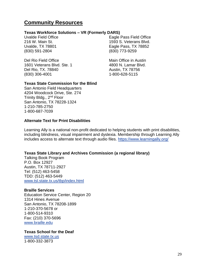# **Community Resources**

#### **Texas Workforce Solutions – VR (Formerly DARS)**

(830) 591-2804 (830) 773-9259

Del Rio Field Office **Main Office in Austin** 1601 Veterans Blvd. Ste. 1 4800 N. Lamar Blvd. Del Rio, TX. 78840 Austin, TX 78756 (830) 306-4001 1-800-628-5115

#### **Texas State Commission for the Blind**

San Antonio Field Headquarters 4204 Woodcock Drive, Ste. 274 Trinity Bldg., 2nd Floor San Antonio, TX 78228-1324 1-210-785-2750 1-800-687-7039

#### **Alternate Text for Print Disabilities**

Learning Ally is a national non-profit dedicated to helping students with print disabilities, including blindness, visual impairment and dyslexia. Membership through Learning Ally includes access to alternate text through audio files.<https://www.learningally.org/>

#### **Texas State Library and Archives Commission (a regional library)**

Talking Book Program P.O. Box 12927 Austin, TX 78711-2927 Tel: (512) 463-5458 TDD: (512) 463-5449 [www.tsl.state.tx.us/tbp/index.html](http://www.tsl.state.tx.us/tbp/index.html)

#### **Braille Services**

Education Service Center, Region 20 1314 Hines Avenue San Antonio, TX 78208-1899 1-210-370-5678 or 1-800-514-9310 Fax: (210) 370-5696 [www.braille.edu](http://www.braille.edu/)

#### **Texas School for the Deaf**

[www.tsd.state.tx.us](http://www.tsd.state.tx.us/) 1-800-332-3873

Uvalde Field Office **Eagle Pass Field Office** Eagle Pass Field Office 216 W. Main St. 1593 S. Veterans Blvd. Uvalde, TX 78801 **Eagle Pass, TX 78852**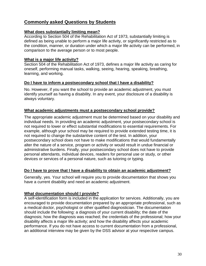# **Commonly asked Questions by Students**

#### **What does substantially limiting mean?**

According to Section 504 of the Rehabilitation Act of 1973, substantially limiting is defined as being unable to perform a major life activity, or significantly restricted as to the condition, manner, or duration under which a major life activity can be performed, in comparison to the average person or to most people.

### **What is a major life activity?**

Section 504 of the Rehabilitation Act of 1973, defines a major life activity as caring for oneself, performing manual tasks, walking, seeing, hearing, speaking, breathing, learning, and working.

### **Do I have to inform a postsecondary school that I have a disability?**

No. However, if you want the school to provide an academic adjustment, you must identify yourself as having a disability. In any event, your disclosure of a disability is always voluntary.

### **What academic adjustments must a postsecondary school provide?**

The appropriate academic adjustment must be determined based on your disability and individual needs. In providing an academic adjustment, your postsecondary school is not required to lower or effect substantial modifications to essential requirements. For example, although your school may be required to provide extended testing time, it is not required to change the substantive content of the test. In addition, your postsecondary school does not have to make modifications that would fundamentally alter the nature of a service, program or activity or would result in undue financial or administrative burdens. Finally, your postsecondary school does not have to provide personal attendants, individual devices, readers for personal use or study, or other devices or services of a personal nature, such as tutoring or typing.

#### **Do I have to prove that I have a disability to obtain an academic adjustment?**

Generally, yes. Your school will require you to provide documentation that shows you have a current disability and need an academic adjustment.

# **What documentation should I provide?**

A self-identification form is included in the application for services. Additionally, you are encouraged to provide documentation prepared by an appropriate professional, such as a medical doctor, psychologist or other qualified diagnostician. The documentation should include the following: a diagnosis of your current disability; the date of the diagnosis; how the diagnosis was reached; the credentials of the professional; how your disability affects a major life activity; and how the disability affects your academic performance. If you do not have access to current documentation from a professional, an additional interview may be given by the DSS advisor at your respective campus.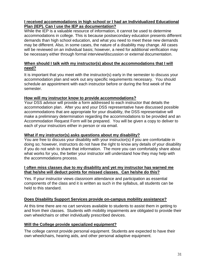#### **I received accommodations in high school or I had an Individualized Educational Plan (IEP). Can I use the IEP as documentation?**

While the IEP is a valuable resource of information, it cannot be used to determine accommodations in college. This is because postsecondary education presents different demands than high school education, and what you need to meet these new demands may be different. Also, in some cases, the nature of a disability may change. All cases will be reviewed on an individual basis; however, a need for additional verification may be necessary either through formal interview/discussion or external documentation.

#### **When should I talk with my instructor(s) about the accommodations that I will need?**

It is important that you meet with the instructor(s) early in the semester to discuss your accommodation plan and work out any specific requirements necessary. You should schedule an appointment with each instructor before or during the first week of the semester.

#### **How will my instructor know to provide accommodations?**

Your DSS advisor will provide a form addressed to each instructor that details the accommodation plan. After you and your DSS representative have discussed possible accommodations that are appropriate for your disability, the DSS representative will make a preliminary determination regarding the accommodations to be provided and an Accommodation Request Form will be prepared. You will be given a copy to deliver to each of your instructors either in person or via email.

#### **What if my instructor(s) asks questions about my disability?**

You are free to discuss your disability with your instructor(s) if you are comfortable in doing so; however, instructors do not have the right to know any details of your disability if you do not wish to share that information. The more you can comfortably share about what works for you, the better your instructor will understand how they may help with the accommodations process.

#### **I often miss classes due to my disability and yet my instructor has warned me that he/she will deduct points for missed classes. Can he/she do this?**

Yes. If your instructor views classroom attendance and participation as essential components of the class and it is written as such in the syllabus, all students can be held to this standard.

# **Does Disability Support Services provide on-campus mobility assistance?**

At this time there are no cart services available to students to assist them in getting to and from their classes. Students with mobility impairments are obligated to provide their own wheelchairs or other individually prescribed devices.

#### **Will the College provide specialized equipment?**

The college cannot provide personal equipment. Students are expected to have their own wheelchairs, hearing aids, and other personal adaptive equipment.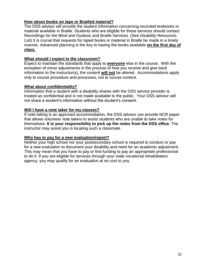#### **How about books on tape or Brailled material?**

The DSS advisor will provide the student information concerning recorded textbooks or material available in Braille. Students who are eligible for these services should contact Recordings for the Blind and Dyslexic and Braille Services. (See *Disability Resources* List) It is crucial that requests for taped books or material in Braille be made in a timely manner. Advanced planning is the key to having the books available **on the first day of class.**

#### **What should I expect in the classroom?**

Expect to maintain the standards that apply to **everyone** else in the course. With the exception of minor adjustments in the process of how you receive and give back information to the instructor(s), the content **will not** be altered. Accommodations apply only to course procedure and processes, not to course content.

#### **What about confidentiality?**

Information that a student with a disability shares with the DSS service provider is treated as confidential and is not made available to the public. Your DSS advisor will not share a student's information without the student's consent.

#### **Will I have a note taker for my classes?**

If note-taking is an approved accommodation, the DSS advisor can provide NCR paper that allows volunteer note takers to assist students who are unable to take notes for themselves. **It is your responsibility to pick up the notes from the DSS office.** The instructor may assist you in locating such a classmate.

#### **Who has to pay for a new evaluation/report?**

Neither your high school nor your postsecondary school is required to conduct or pay for a new evaluation to document your disability and need for an academic adjustment. This may mean that you have to pay or find funding to pay an appropriate professional to do it. If you are eligible for services through your state vocational rehabilitation agency, you may qualify for an evaluation at no cost to you.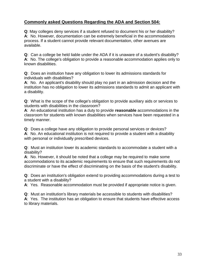# **Commonly asked Questions Regarding the ADA and Section 504:**

**Q**: May colleges deny services if a student refused to document his or her disability? **A**: No. However, documentation can be extremely beneficial in the accommodations process. If a student cannot provide relevant documentation, other avenues are available.

**Q**: Can a college be held liable under the ADA if it is unaware of a student's disability? **A**: No. The college's obligation to provide a reasonable accommodation applies only to known disabilities.

**Q**: Does an institution have any obligation to lower its admissions standards for individuals with disabilities?

**A**: No. An applicant's disability should play no part in an admission decision and the institution has no obligation to lower its admissions standards to admit an applicant with a disability.

**Q**: What is the scope of the college's obligation to provide auxiliary aids or services to students with disabilities in the classroom?

**A**: An educational institution has a duty to provide **reasonable** accommodations in the classroom for students with known disabilities when services have been requested in a timely manner.

**Q**: Does a college have any obligation to provide personal services or devices? **A**: No. An educational institution is not required to provide a student with a disability with personal or individually prescribed devices.

**Q**: Must an institution lower its academic standards to accommodate a student with a disability?

**A**: No. However, it should be noted that a college may be required to make some accommodations to its academic requirements to ensure that such requirements do not discriminate or have the effect of discriminating on the basis of the student's disability.

**Q**: Does an institution's obligation extend to providing accommodations during a test to a student with a disability?

**A**: Yes. Reasonable accommodation must be provided if appropriate notice is given.

**Q**: Must an institution's library materials be accessible to students with disabilities? **A**: Yes. The institution has an obligation to ensure that students have effective access to library materials.